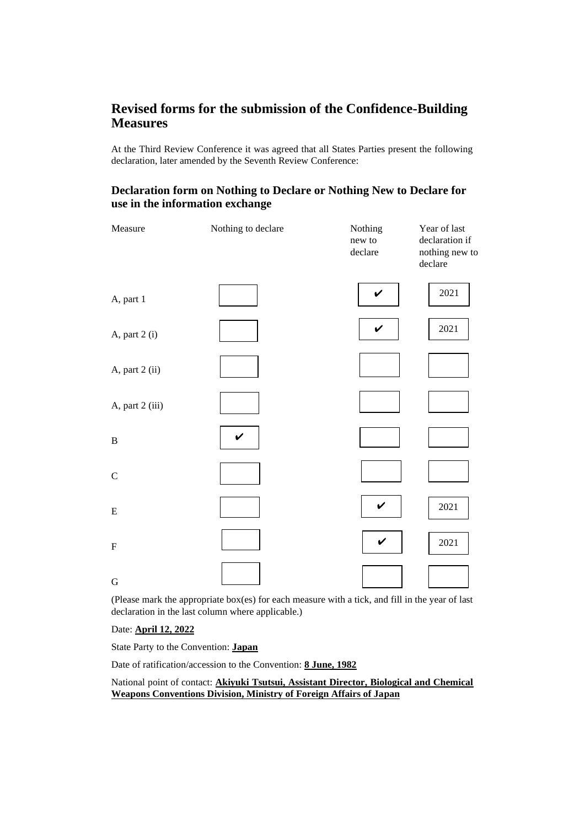## **Revised forms for the submission of the Confidence-Building Measures**

At the Third Review Conference it was agreed that all States Parties present the following declaration, later amended by the Seventh Review Conference:

## **Declaration form on Nothing to Declare or Nothing New to Declare for use in the information exchange**

| Measure         | Nothing to declare | Nothing<br>new to<br>$\rm declare$ | Year of last<br>declaration if<br>nothing new to<br>declare |
|-----------------|--------------------|------------------------------------|-------------------------------------------------------------|
| A, part 1       |                    | $\checkmark$                       | 2021                                                        |
| A, part 2 (i)   |                    | $\checkmark$                       | 2021                                                        |
| A, part 2 (ii)  |                    |                                    |                                                             |
| A, part 2 (iii) |                    |                                    |                                                             |
| $\, {\bf B}$    | ✔                  |                                    |                                                             |
| $\mathsf C$     |                    |                                    |                                                             |
| ${\bf E}$       |                    | V                                  | 2021                                                        |
| ${\bf F}$       |                    | $\checkmark$                       | 2021                                                        |
| $\mathbf G$     |                    |                                    |                                                             |

(Please mark the appropriate box(es) for each measure with a tick, and fill in the year of last declaration in the last column where applicable.)

Date: **April 12, 2022**

State Party to the Convention: **Japan**

Date of ratification/accession to the Convention: **8 June, 1982**

### National point of contact: **Akiyuki Tsutsui, Assistant Director, Biological and Chemical Weapons Conventions Division, Ministry of Foreign Affairs of Japan**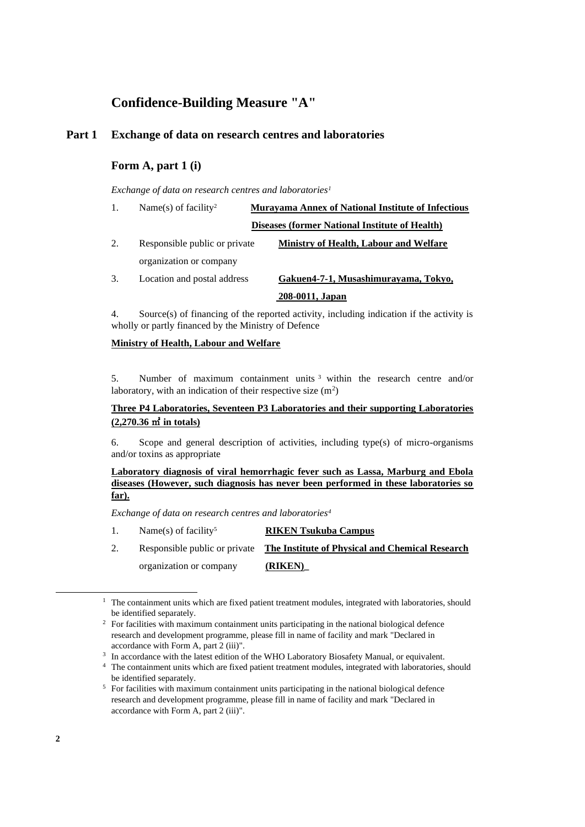## **Confidence-Building Measure "A"**

## **Part 1 Exchange of data on research centres and laboratories**

## **Form A, part 1 (i)**

*Exchange of data on research centres and laboratories<sup>1</sup>*

| 1. | Name(s) of facility <sup>2</sup> | <b>Murayama Annex of National Institute of Infectious</b> |  |
|----|----------------------------------|-----------------------------------------------------------|--|
|    |                                  | <b>Diseases (former National Institute of Health)</b>     |  |
| 2. | Responsible public or private    | <b>Ministry of Health, Labour and Welfare</b>             |  |
|    | organization or company          |                                                           |  |
| 3. | Location and postal address      | Gakuen4-7-1, Musashimurayama, Tokyo,                      |  |
|    |                                  | 208-0011, Japan                                           |  |

4. Source(s) of financing of the reported activity, including indication if the activity is wholly or partly financed by the Ministry of Defence

#### **Ministry of Health, Labour and Welfare**

5. Number of maximum containment units <sup>3</sup> within the research centre and/or laboratory, with an indication of their respective size  $(m^2)$ 

### **Three P4 Laboratories, Seventeen P3 Laboratories and their supporting Laboratories (2,270.36** ㎡ **in totals)**

6. Scope and general description of activities, including type(s) of micro-organisms and/or toxins as appropriate

#### **Laboratory diagnosis of viral hemorrhagic fever such as Lassa, Marburg and Ebola diseases (However, such diagnosis has never been performed in these laboratories so far).**

*Exchange of data on research centres and laboratories<sup>4</sup>*

- 1. Name(s) of facility<sup>5</sup> **RIKEN Tsukuba Campus**
- 2. Responsible public or private **The Institute of Physical and Chemical Research** organization or company **(RIKEN)\_**

<sup>&</sup>lt;sup>1</sup> The containment units which are fixed patient treatment modules, integrated with laboratories, should be identified separately.

<sup>&</sup>lt;sup>2</sup> For facilities with maximum containment units participating in the national biological defence research and development programme, please fill in name of facility and mark "Declared in accordance with Form A, part 2 (iii)".

<sup>&</sup>lt;sup>3</sup> In accordance with the latest edition of the WHO Laboratory Biosafety Manual, or equivalent.

<sup>4</sup> The containment units which are fixed patient treatment modules, integrated with laboratories, should be identified separately.

<sup>&</sup>lt;sup>5</sup> For facilities with maximum containment units participating in the national biological defence research and development programme, please fill in name of facility and mark "Declared in accordance with Form A, part 2 (iii)".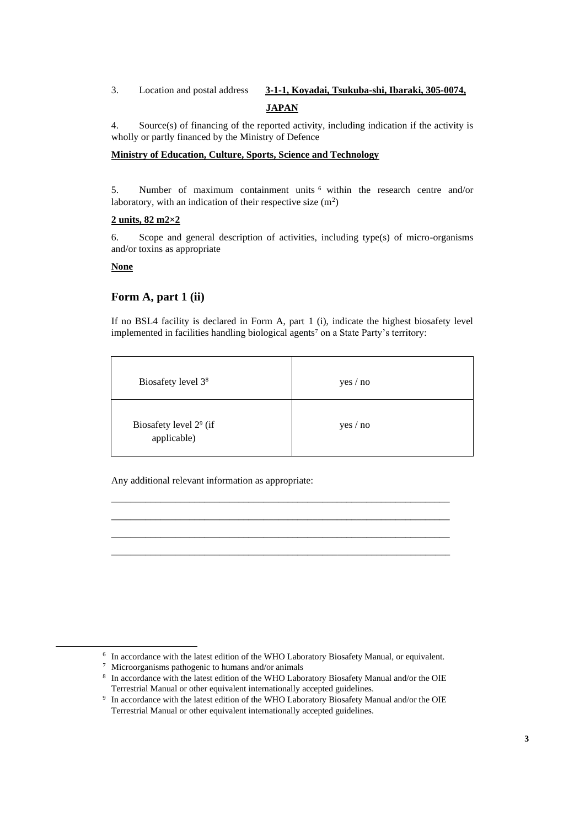## 3. Location and postal address **3-1-1, Koyadai, Tsukuba-shi, Ibaraki, 305-0074, JAPAN**

4. Source(s) of financing of the reported activity, including indication if the activity is wholly or partly financed by the Ministry of Defence

### **Ministry of Education, Culture, Sports, Science and Technology**

5. Number of maximum containment units <sup>6</sup> within the research centre and/or laboratory, with an indication of their respective size  $(m^2)$ 

#### **2 units, 82 m2×2**

6. Scope and general description of activities, including type(s) of micro-organisms and/or toxins as appropriate

#### **None**

## **Form A, part 1 (ii)**

If no BSL4 facility is declared in Form A, part 1 (i), indicate the highest biosafety level implemented in facilities handling biological agents<sup>7</sup> on a State Party's territory:

| Biosafety level 3 <sup>8</sup>          | yes / no |
|-----------------------------------------|----------|
| Biosafety level $29$ (if<br>applicable) | yes / no |

\_\_\_\_\_\_\_\_\_\_\_\_\_\_\_\_\_\_\_\_\_\_\_\_\_\_\_\_\_\_\_\_\_\_\_\_\_\_\_\_\_\_\_\_\_\_\_\_\_\_\_\_\_\_\_\_\_\_\_\_\_\_\_\_\_\_\_\_\_ \_\_\_\_\_\_\_\_\_\_\_\_\_\_\_\_\_\_\_\_\_\_\_\_\_\_\_\_\_\_\_\_\_\_\_\_\_\_\_\_\_\_\_\_\_\_\_\_\_\_\_\_\_\_\_\_\_\_\_\_\_\_\_\_\_\_\_\_\_ \_\_\_\_\_\_\_\_\_\_\_\_\_\_\_\_\_\_\_\_\_\_\_\_\_\_\_\_\_\_\_\_\_\_\_\_\_\_\_\_\_\_\_\_\_\_\_\_\_\_\_\_\_\_\_\_\_\_\_\_\_\_\_\_\_\_\_\_\_ \_\_\_\_\_\_\_\_\_\_\_\_\_\_\_\_\_\_\_\_\_\_\_\_\_\_\_\_\_\_\_\_\_\_\_\_\_\_\_\_\_\_\_\_\_\_\_\_\_\_\_\_\_\_\_\_\_\_\_\_\_\_\_\_\_\_\_\_\_

Any additional relevant information as appropriate:

<sup>&</sup>lt;sup>6</sup> In accordance with the latest edition of the WHO Laboratory Biosafety Manual, or equivalent.

<sup>7</sup> Microorganisms pathogenic to humans and/or animals

<sup>8</sup> In accordance with the latest edition of the WHO Laboratory Biosafety Manual and/or the OIE Terrestrial Manual or other equivalent internationally accepted guidelines.

<sup>9</sup> In accordance with the latest edition of the WHO Laboratory Biosafety Manual and/or the OIE Terrestrial Manual or other equivalent internationally accepted guidelines.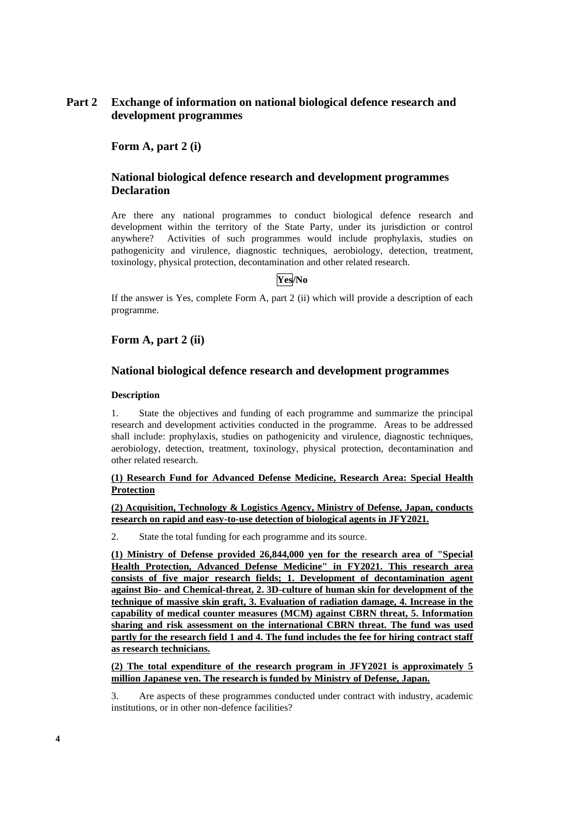## **Part 2 Exchange of information on national biological defence research and development programmes**

**Form A, part 2 (i)**

## **National biological defence research and development programmes Declaration**

Are there any national programmes to conduct biological defence research and development within the territory of the State Party, under its jurisdiction or control anywhere? Activities of such programmes would include prophylaxis, studies on pathogenicity and virulence, diagnostic techniques, aerobiology, detection, treatment, toxinology, physical protection, decontamination and other related research.

### **Yes/No**

If the answer is Yes, complete Form A, part 2 (ii) which will provide a description of each programme.

## **Form A, part 2 (ii)**

#### **National biological defence research and development programmes**

#### **Description**

1. State the objectives and funding of each programme and summarize the principal research and development activities conducted in the programme. Areas to be addressed shall include: prophylaxis, studies on pathogenicity and virulence, diagnostic techniques, aerobiology, detection, treatment, toxinology, physical protection, decontamination and other related research.

### **(1) Research Fund for Advanced Defense Medicine, Research Area: Special Health Protection**

**(2) Acquisition, Technology & Logistics Agency, Ministry of Defense, Japan, conducts research on rapid and easy-to-use detection of biological agents in JFY2021.**

2. State the total funding for each programme and its source.

**(1) Ministry of Defense provided 26,844,000 yen for the research area of "Special Health Protection, Advanced Defense Medicine" in FY2021. This research area consists of five major research fields; 1. Development of decontamination agent against Bio- and Chemical-threat, 2. 3D-culture of human skin for development of the technique of massive skin graft, 3. Evaluation of radiation damage, 4. Increase in the capability of medical counter measures (MCM) against CBRN threat, 5. Information sharing and risk assessment on the international CBRN threat. The fund was used partly for the research field 1 and 4. The fund includes the fee for hiring contract staff as research technicians.**

**(2) The total expenditure of the research program in JFY2021 is approximately 5 million Japanese yen. The research is funded by Ministry of Defense, Japan.**

3. Are aspects of these programmes conducted under contract with industry, academic institutions, or in other non-defence facilities?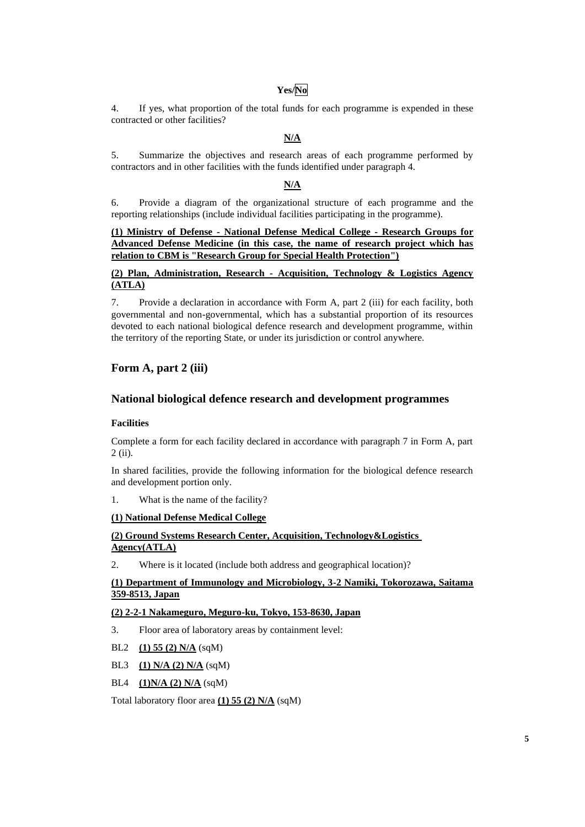## **Yes/No**

4. If yes, what proportion of the total funds for each programme is expended in these contracted or other facilities?

## **N/A**

5. Summarize the objectives and research areas of each programme performed by contractors and in other facilities with the funds identified under paragraph 4.

## **N/A**

6. Provide a diagram of the organizational structure of each programme and the reporting relationships (include individual facilities participating in the programme).

**(1) Ministry of Defense - National Defense Medical College - Research Groups for Advanced Defense Medicine (in this case, the name of research project which has relation to CBM is "Research Group for Special Health Protection")**

#### **(2) Plan, Administration, Research - Acquisition, Technology & Logistics Agency (ATLA)**

7. Provide a declaration in accordance with Form A, part 2 (iii) for each facility, both governmental and non-governmental, which has a substantial proportion of its resources devoted to each national biological defence research and development programme, within the territory of the reporting State, or under its jurisdiction or control anywhere.

## **Form A, part 2 (iii)**

## **National biological defence research and development programmes**

#### **Facilities**

Complete a form for each facility declared in accordance with paragraph 7 in Form A, part 2 (ii).

In shared facilities, provide the following information for the biological defence research and development portion only.

1. What is the name of the facility?

#### **(1) National Defense Medical College**

### **(2) Ground Systems Research Center, Acquisition, Technology&Logistics Agency(ATLA)**

2. Where is it located (include both address and geographical location)?

### **(1) Department of Immunology and Microbiology, 3-2 Namiki, Tokorozawa, Saitama 359-8513, Japan**

#### **(2) 2-2-1 Nakameguro, Meguro-ku, Tokyo, 153-8630, Japan**

- 3. Floor area of laboratory areas by containment level:
- BL2 **(1) 55 (2) N/A** (sqM)
- BL3 **(1) N/A (2) N/A** (sqM)
- BL4 **(1)N/A (2) N/A** (sqM)

Total laboratory floor area **(1) 55 (2) N/A** (sqM)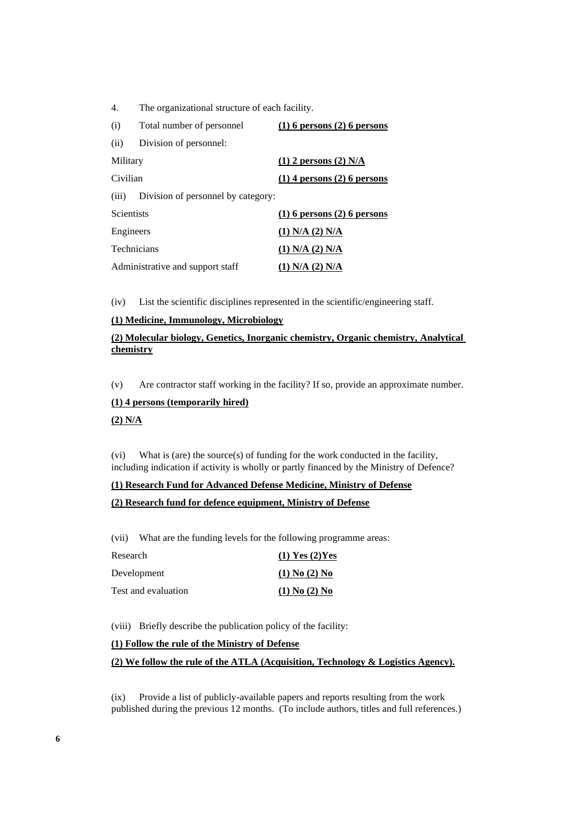4. The organizational structure of each facility.

| (i)                              | Total number of personnel          | $(1)$ 6 persons $(2)$ 6 persons |
|----------------------------------|------------------------------------|---------------------------------|
| (ii)                             | Division of personnel:             |                                 |
| Military                         |                                    | $(1)$ 2 persons $(2)$ N/A       |
| Civilian                         |                                    | $(1)$ 4 persons $(2)$ 6 persons |
| (iii)                            | Division of personnel by category: |                                 |
| <b>Scientists</b>                |                                    | $(1)$ 6 persons $(2)$ 6 persons |
| Engineers                        |                                    | $(1)$ N/A $(2)$ N/A             |
| <b>Technicians</b>               |                                    | $(1)$ N/A $(2)$ N/A             |
| Administrative and support staff |                                    | $(1)$ N/A $(2)$ N/A             |

(iv) List the scientific disciplines represented in the scientific/engineering staff.

#### **(1) Medicine, Immunology, Microbiology**

## **(2) Molecular biology, Genetics, Inorganic chemistry, Organic chemistry, Analytical chemistry**

(v) Are contractor staff working in the facility? If so, provide an approximate number.

#### **(1) 4 persons (temporarily hired)**

#### **(2) N/A**

(vi) What is (are) the source(s) of funding for the work conducted in the facility, including indication if activity is wholly or partly financed by the Ministry of Defence?

#### **(1) Research Fund for Advanced Defense Medicine, Ministry of Defense**

#### **(2) Research fund for defence equipment, Ministry of Defense**

(vii) What are the funding levels for the following programme areas:

| Research            | $(1)$ Yes $(2)$ Yes |
|---------------------|---------------------|
| Development         | $(1)$ No $(2)$ No   |
| Test and evaluation | $(1)$ No $(2)$ No   |

(viii) Briefly describe the publication policy of the facility:

#### **(1) Follow the rule of the Ministry of Defense**

#### **(2) We follow the rule of the ATLA (Acquisition, Technology & Logistics Agency).**

(ix) Provide a list of publicly-available papers and reports resulting from the work published during the previous 12 months. (To include authors, titles and full references.)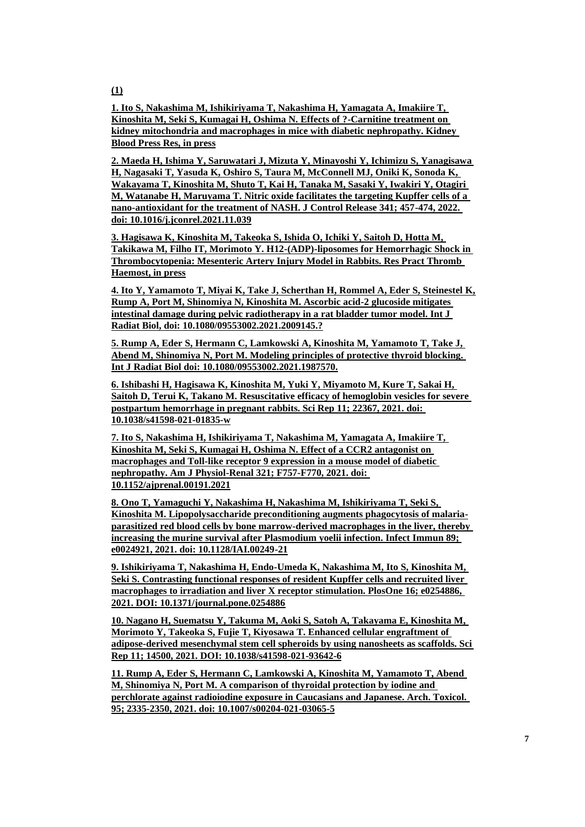**(1)**

**1. Ito S, Nakashima M, Ishikiriyama T, Nakashima H, Yamagata A, Imakiire T, Kinoshita M, Seki S, Kumagai H, Oshima N. Effects of ?-Carnitine treatment on kidney mitochondria and macrophages in mice with diabetic nephropathy. Kidney Blood Press Res, in press**

**2. Maeda H, Ishima Y, Saruwatari J, Mizuta Y, Minayoshi Y, Ichimizu S, Yanagisawa H, Nagasaki T, Yasuda K, Oshiro S, Taura M, McConnell MJ, Oniki K, Sonoda K, Wakayama T, Kinoshita M, Shuto T, Kai H, Tanaka M, Sasaki Y, Iwakiri Y, Otagiri M, Watanabe H, Maruyama T. Nitric oxide facilitates the targeting Kupffer cells of a nano-antioxidant for the treatment of NASH. J Control Release 341; 457-474, 2022. doi: 10.1016/j.jconrel.2021.11.039**

**3. Hagisawa K, Kinoshita M, Takeoka S, Ishida O, Ichiki Y, Saitoh D, Hotta M, Takikawa M, Filho IT, Morimoto Y. H12-(ADP)-liposomes for Hemorrhagic Shock in Thrombocytopenia: Mesenteric Artery Injury Model in Rabbits. Res Pract Thromb Haemost, in press**

**4. Ito Y, Yamamoto T, Miyai K, Take J, Scherthan H, Rommel A, Eder S, Steinestel K, Rump A, Port M, Shinomiya N, Kinoshita M. Ascorbic acid-2 glucoside mitigates intestinal damage during pelvic radiotherapy in a rat bladder tumor model. Int J Radiat Biol, doi: 10.1080/09553002.2021.2009145.?**

**5. Rump A, Eder S, Hermann C, Lamkowski A, Kinoshita M, Yamamoto T, Take J, Abend M, Shinomiya N, Port M. Modeling principles of protective thyroid blocking. Int J Radiat Biol doi: 10.1080/09553002.2021.1987570.**

**6. Ishibashi H, Hagisawa K, Kinoshita M, Yuki Y, Miyamoto M, Kure T, Sakai H, Saitoh D, Terui K, Takano M. Resuscitative efficacy of hemoglobin vesicles for severe postpartum hemorrhage in pregnant rabbits. Sci Rep 11; 22367, 2021. doi: 10.1038/s41598-021-01835-w**

**7. Ito S, Nakashima H, Ishikiriyama T, Nakashima M, Yamagata A, Imakiire T, Kinoshita M, Seki S, Kumagai H, Oshima N. Effect of a CCR2 antagonist on macrophages and Toll-like receptor 9 expression in a mouse model of diabetic nephropathy. Am J Physiol-Renal 321; F757-F770, 2021. doi: 10.1152/ajprenal.00191.2021**

**8. Ono T, Yamaguchi Y, Nakashima H, Nakashima M, Ishikiriyama T, Seki S, Kinoshita M. Lipopolysaccharide preconditioning augments phagocytosis of malariaparasitized red blood cells by bone marrow-derived macrophages in the liver, thereby increasing the murine survival after Plasmodium yoelii infection. Infect Immun 89; e0024921, 2021. doi: 10.1128/IAI.00249-21**

**9. Ishikiriyama T, Nakashima H, Endo-Umeda K, Nakashima M, Ito S, Kinoshita M, Seki S. Contrasting functional responses of resident Kupffer cells and recruited liver macrophages to irradiation and liver X receptor stimulation. PlosOne 16; e0254886, 2021. DOI: 10.1371/journal.pone.0254886**

**10. Nagano H, Suematsu Y, Takuma M, Aoki S, Satoh A, Takayama E, Kinoshita M, Morimoto Y, Takeoka S, Fujie T, Kiyosawa T. Enhanced cellular engraftment of adipose-derived mesenchymal stem cell spheroids by using nanosheets as scaffolds. Sci Rep 11; 14500, 2021. DOI: 10.1038/s41598-021-93642-6**

**11. Rump A, Eder S, Hermann C, Lamkowski A, Kinoshita M, Yamamoto T, Abend M, Shinomiya N, Port M. A comparison of thyroidal protection by iodine and perchlorate against radioiodine exposure in Caucasians and Japanese. Arch. Toxicol. 95; 2335-2350, 2021. doi: 10.1007/s00204-021-03065-5**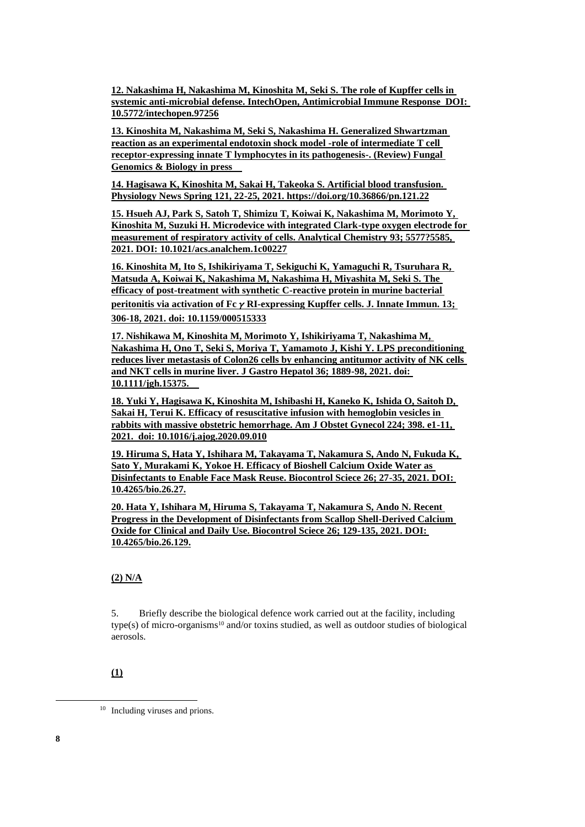**12. Nakashima H, Nakashima M, Kinoshita M, Seki S. The role of Kupffer cells in systemic anti-microbial defense. IntechOpen, Antimicrobial Immune Response DOI: 10.5772/intechopen.97256**

**13. Kinoshita M, Nakashima M, Seki S, Nakashima H. Generalized Shwartzman reaction as an experimental endotoxin shock model -role of intermediate T cell receptor-expressing innate T lymphocytes in its pathogenesis-. (Review) Fungal Genomics & Biology in press**

**14. Hagisawa K, Kinoshita M, Sakai H, Takeoka S. Artificial blood transfusion. Physiology News Spring 121, 22-25, 2021. https://doi.org/10.36866/pn.121.22**

**15. Hsueh AJ, Park S, Satoh T, Shimizu T, Koiwai K, Nakashima M, Morimoto Y, Kinoshita M, Suzuki H. Microdevice with integrated Clark-type oxygen electrode for measurement of respiratory activity of cells. Analytical Chemistry 93; 5577?5585, 2021. DOI: 10.1021/acs.analchem.1c00227**

**16. Kinoshita M, Ito S, Ishikiriyama T, Sekiguchi K, Yamaguchi R, Tsuruhara R, Matsuda A, Koiwai K, Nakashima M, Nakashima H, Miyashita M, Seki S. The efficacy of post-treatment with synthetic C-reactive protein in murine bacterial peritonitis via activation of Fc**γ**RI-expressing Kupffer cells. J. Innate Immun. 13; 306-18, 2021. doi: 10.1159/000515333**

**17. Nishikawa M, Kinoshita M, Morimoto Y, Ishikiriyama T, Nakashima M, Nakashima H, Ono T, Seki S, Moriya T, Yamamoto J, Kishi Y. LPS preconditioning reduces liver metastasis of Colon26 cells by enhancing antitumor activity of NK cells and NKT cells in murine liver. J Gastro Hepatol 36; 1889-98, 2021. doi: 10.1111/jgh.15375.**

**18. Yuki Y, Hagisawa K, Kinoshita M, Ishibashi H, Kaneko K, Ishida O, Saitoh D, Sakai H, Terui K. Efficacy of resuscitative infusion with hemoglobin vesicles in rabbits with massive obstetric hemorrhage. Am J Obstet Gynecol 224; 398. e1-11, 2021. doi: 10.1016/j.ajog.2020.09.010**

**19. Hiruma S, Hata Y, Ishihara M, Takayama T, Nakamura S, Ando N, Fukuda K, Sato Y, Murakami K, Yokoe H. Efficacy of Bioshell Calcium Oxide Water as Disinfectants to Enable Face Mask Reuse. Biocontrol Sciece 26; 27-35, 2021. DOI: 10.4265/bio.26.27.**

**20. Hata Y, Ishihara M, Hiruma S, Takayama T, Nakamura S, Ando N. Recent Progress in the Development of Disinfectants from Scallop Shell-Derived Calcium Oxide for Clinical and Daily Use. Biocontrol Sciece 26; 129-135, 2021. DOI: 10.4265/bio.26.129.**

### **(2) N/A**

5. Briefly describe the biological defence work carried out at the facility, including type(s) of micro-organisms<sup>10</sup> and/or toxins studied, as well as outdoor studies of biological aerosols.

## **(1)**

<sup>&</sup>lt;sup>10</sup> Including viruses and prions.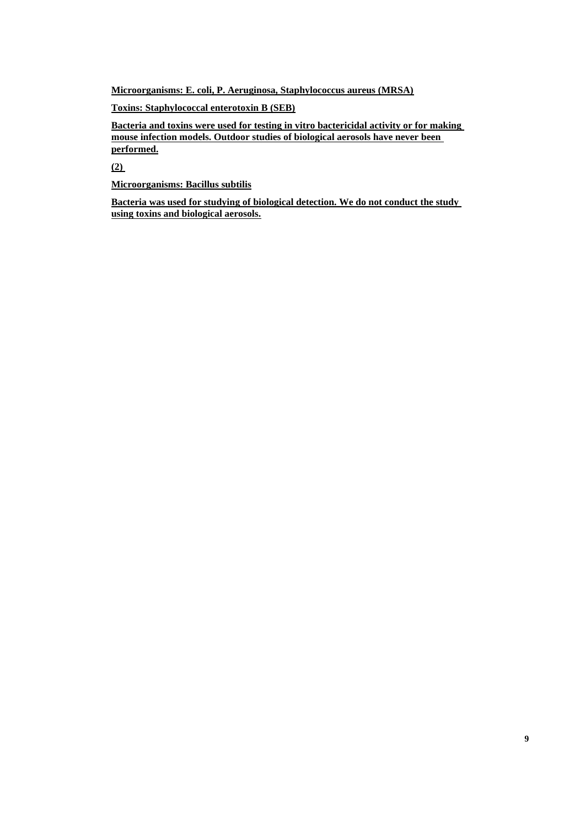**Microorganisms: E. coli, P. Aeruginosa, Staphylococcus aureus (MRSA)**

**Toxins: Staphylococcal enterotoxin B (SEB)**

**Bacteria and toxins were used for testing in vitro bactericidal activity or for making mouse infection models. Outdoor studies of biological aerosols have never been performed.**

**(2)** 

**Microorganisms: Bacillus subtilis**

**Bacteria was used for studying of biological detection. We do not conduct the study using toxins and biological aerosols.**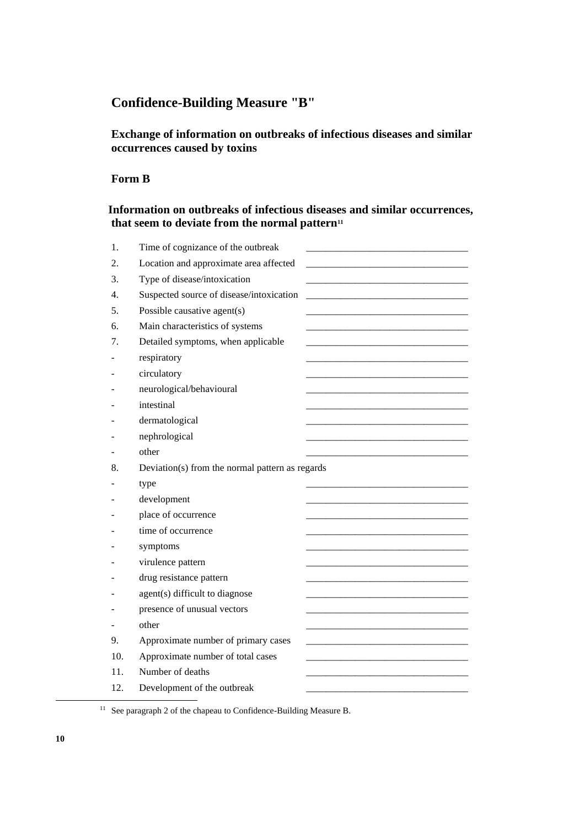# **Confidence-Building Measure "B"**

## **Exchange of information on outbreaks of infectious diseases and similar occurrences caused by toxins**

## **Form B**

## **Information on outbreaks of infectious diseases and similar occurrences, that seem to deviate from the normal pattern<sup>11</sup>**

| 1.  | Time of cognizance of the outbreak              |
|-----|-------------------------------------------------|
| 2.  | Location and approximate area affected          |
| 3.  | Type of disease/intoxication                    |
| 4.  | Suspected source of disease/intoxication        |
| 5.  | Possible causative agent(s)                     |
| 6.  | Main characteristics of systems                 |
| 7.  | Detailed symptoms, when applicable              |
|     | respiratory                                     |
|     | circulatory                                     |
|     | neurological/behavioural                        |
|     | intestinal                                      |
|     | dermatological                                  |
|     | nephrological                                   |
|     | other                                           |
| 8.  | Deviation(s) from the normal pattern as regards |
|     | type                                            |
|     | development                                     |
|     | place of occurrence                             |
|     | time of occurrence                              |
|     | symptoms                                        |
|     | virulence pattern                               |
|     | drug resistance pattern                         |
|     | agent(s) difficult to diagnose                  |
|     | presence of unusual vectors                     |
|     | other                                           |
| 9.  | Approximate number of primary cases             |
| 10. | Approximate number of total cases               |
| 11. | Number of deaths                                |
| 12. | Development of the outbreak                     |

<sup>&</sup>lt;sup>11</sup> See paragraph 2 of the chapeau to Confidence-Building Measure B.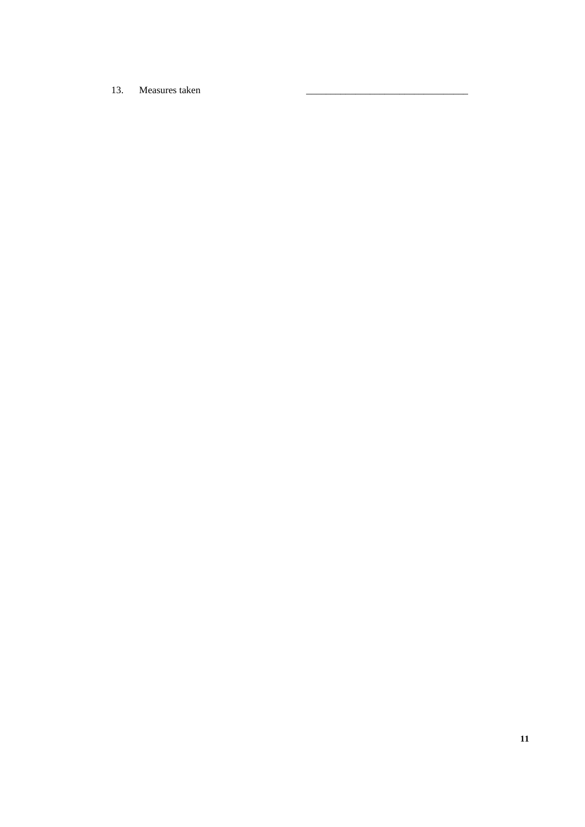13. Measures taken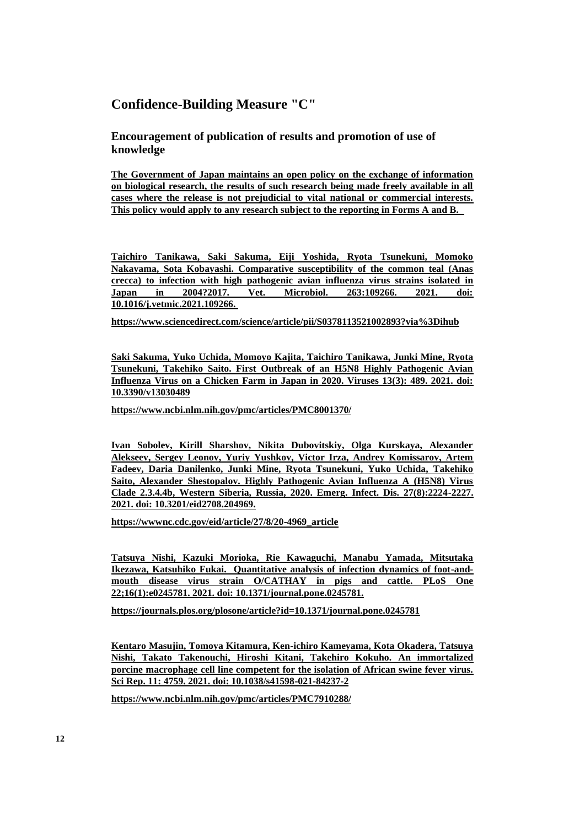## **Confidence-Building Measure "C"**

**Encouragement of publication of results and promotion of use of knowledge**

**The Government of Japan maintains an open policy on the exchange of information on biological research, the results of such research being made freely available in all cases where the release is not prejudicial to vital national or commercial interests. This policy would apply to any research subject to the reporting in Forms A and B.** 

**Taichiro Tanikawa, Saki Sakuma, Eiji Yoshida, Ryota Tsunekuni, Momoko Nakayama, Sota Kobayashi. Comparative susceptibility of the common teal (Anas crecca) to infection with high pathogenic avian influenza virus strains isolated in Japan in 2004?2017. Vet. Microbiol. 263:109266. 2021. doi: 10.1016/j.vetmic.2021.109266.** 

**https://www.sciencedirect.com/science/article/pii/S0378113521002893?via%3Dihub**

**Saki Sakuma, Yuko Uchida, Momoyo Kajita, Taichiro Tanikawa, Junki Mine, Ryota Tsunekuni, Takehiko Saito. First Outbreak of an H5N8 Highly Pathogenic Avian Influenza Virus on a Chicken Farm in Japan in 2020. Viruses 13(3): 489. 2021. doi: 10.3390/v13030489**

**https://www.ncbi.nlm.nih.gov/pmc/articles/PMC8001370/**

**Ivan Sobolev, Kirill Sharshov, Nikita Dubovitskiy, Olga Kurskaya, Alexander Alekseev, Sergey Leonov, Yuriy Yushkov, Victor Irza, Andrey Komissarov, Artem Fadeev, Daria Danilenko, Junki Mine, Ryota Tsunekuni, Yuko Uchida, Takehiko Saito, Alexander Shestopalov. Highly Pathogenic Avian Influenza A (H5N8) Virus Clade 2.3.4.4b, Western Siberia, Russia, 2020. Emerg. Infect. Dis. 27(8):2224-2227. 2021. doi: 10.3201/eid2708.204969.**

**https://wwwnc.cdc.gov/eid/article/27/8/20-4969\_article**

**Tatsuya Nishi, Kazuki Morioka, Rie Kawaguchi, Manabu Yamada, Mitsutaka Ikezawa, Katsuhiko Fukai. Quantitative analysis of infection dynamics of foot-andmouth disease virus strain O/CATHAY in pigs and cattle. PLoS One 22;16(1):e0245781. 2021. doi: 10.1371/journal.pone.0245781.**

**https://journals.plos.org/plosone/article?id=10.1371/journal.pone.0245781**

**Kentaro Masujin, Tomoya Kitamura, Ken-ichiro Kameyama, Kota Okadera, Tatsuya Nishi, Takato Takenouchi, Hiroshi Kitani, Takehiro Kokuho. An immortalized porcine macrophage cell line competent for the isolation of African swine fever virus. Sci Rep. 11: 4759. 2021. doi: 10.1038/s41598-021-84237-2**

**https://www.ncbi.nlm.nih.gov/pmc/articles/PMC7910288/**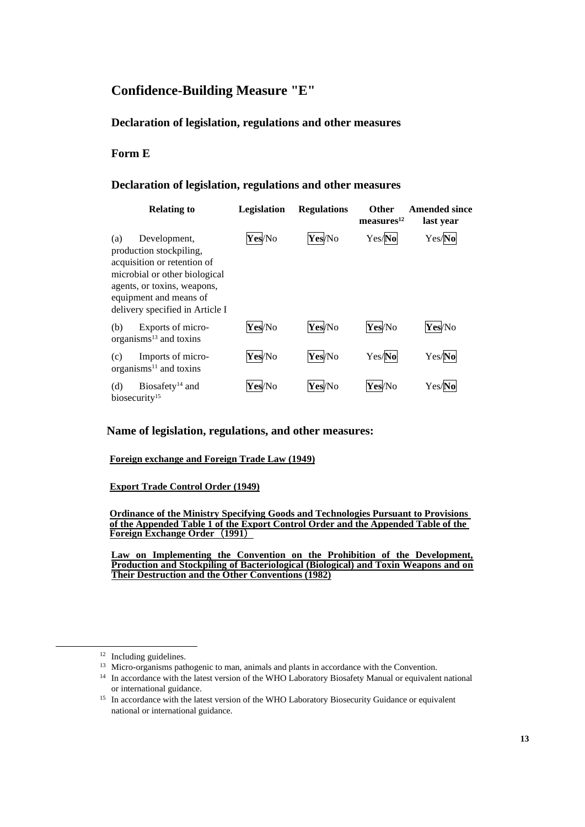# **Confidence-Building Measure "E"**

## **Declaration of legislation, regulations and other measures**

## **Form E**

## **Declaration of legislation, regulations and other measures**

| <b>Relating to</b>                                                                                                                                                                                         | Legislation | <b>Regulations</b> | <b>Other</b><br>measures <sup>12</sup> | <b>Amended since</b><br>last year |
|------------------------------------------------------------------------------------------------------------------------------------------------------------------------------------------------------------|-------------|--------------------|----------------------------------------|-----------------------------------|
| Development,<br>(a)<br>production stockpiling,<br>acquisition or retention of<br>microbial or other biological<br>agents, or toxins, weapons,<br>equipment and means of<br>delivery specified in Article I | Yes/No      | Yes/No             | Yes/No                                 | Yes/No                            |
| Exports of micro-<br>(b)<br>organisms $^{13}$ and toxins                                                                                                                                                   | Yes/No      | Yes/No             | Yes/No                                 | Yes/No                            |
| Imports of micro-<br>(c)<br>organisms $^{11}$ and toxins                                                                                                                                                   | Yes/No      | Yes/No             | Yes/No                                 | Yes/No                            |
| Biosafety <sup>14</sup> and<br>(d)<br>biosecurity <sup>15</sup>                                                                                                                                            | Yes/No      | Yes/No             | Yes/No                                 | Yes/No                            |

### **Name of legislation, regulations, and other measures:**

#### **Foreign exchange and Foreign Trade Law (1949)**

#### **Export Trade Control Order (1949)**

#### **Ordinance of the Ministry Specifying Goods and Technologies Pursuant to Provisions of the Appended Table 1 of the Export Control Order and the Appended Table of the Foreign Exchange Order**(**1991**)

**Law on Implementing the Convention on the Prohibition of the Development, Production and Stockpiling of Bacteriological (Biological) and Toxin Weapons and on Their Destruction and the Other Conventions (1982)**

<sup>&</sup>lt;sup>12</sup> Including guidelines.

<sup>&</sup>lt;sup>13</sup> Micro-organisms pathogenic to man, animals and plants in accordance with the Convention.

<sup>&</sup>lt;sup>14</sup> In accordance with the latest version of the WHO Laboratory Biosafety Manual or equivalent national or international guidance.

<sup>&</sup>lt;sup>15</sup> In accordance with the latest version of the WHO Laboratory Biosecurity Guidance or equivalent national or international guidance.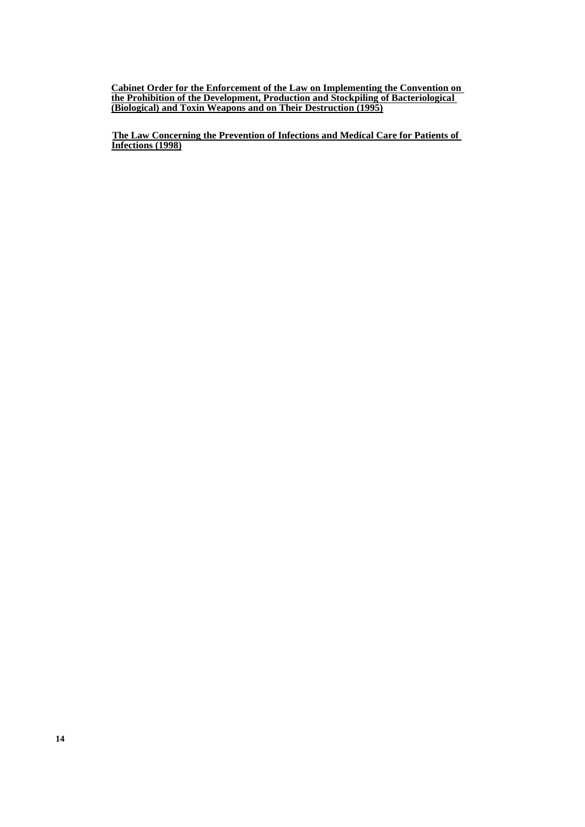**Cabinet Order for the Enforcement of the Law on Implementing the Convention on the Prohibition of the Development, Production and Stockpiling of Bacteriological (Biological) and Toxin Weapons and on Their Destruction (1995)**

 **The Law Concerning the Prevention of Infections and Medical Care for Patients of Infections (1998)**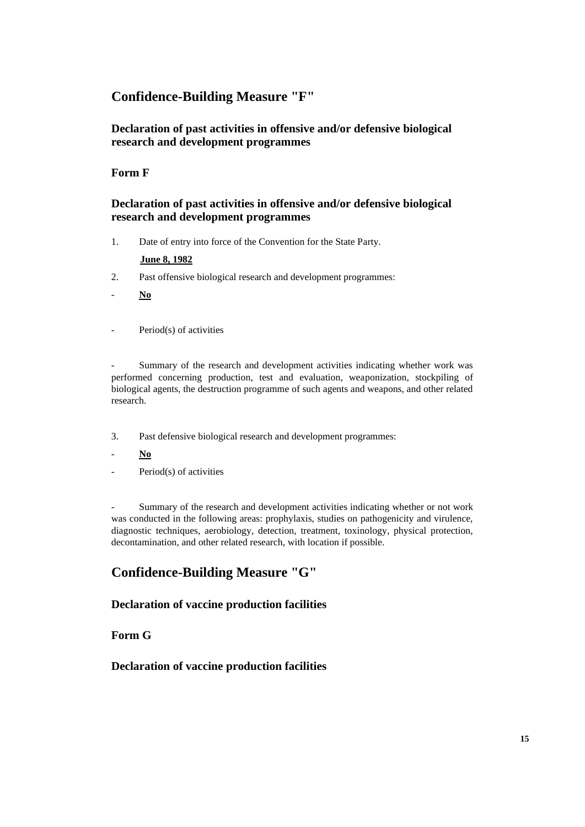## **Confidence-Building Measure "F"**

## **Declaration of past activities in offensive and/or defensive biological research and development programmes**

## **Form F**

## **Declaration of past activities in offensive and/or defensive biological research and development programmes**

1. Date of entry into force of the Convention for the State Party.

### **June 8, 1982**

- 2. Past offensive biological research and development programmes:
- **No**
- Period(s) of activities

Summary of the research and development activities indicating whether work was performed concerning production, test and evaluation, weaponization, stockpiling of biological agents, the destruction programme of such agents and weapons, and other related research.

- 3. Past defensive biological research and development programmes:
- **No**
- Period(s) of activities

Summary of the research and development activities indicating whether or not work was conducted in the following areas: prophylaxis, studies on pathogenicity and virulence, diagnostic techniques, aerobiology, detection, treatment, toxinology, physical protection, decontamination, and other related research, with location if possible.

## **Confidence-Building Measure "G"**

## **Declaration of vaccine production facilities**

## **Form G**

## **Declaration of vaccine production facilities**